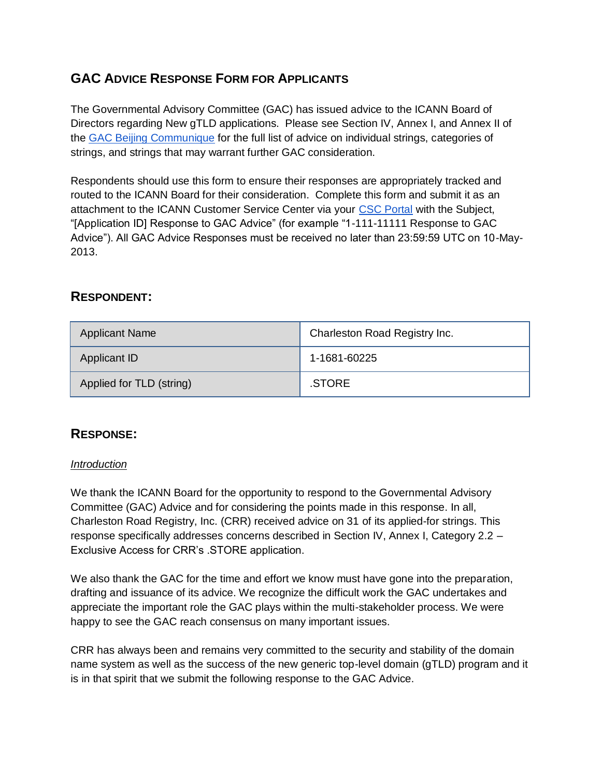# **GAC ADVICE RESPONSE FORM FOR APPLICANTS**

The Governmental Advisory Committee (GAC) has issued advice to the ICANN Board of Directors regarding New gTLD applications. Please see Section IV, Annex I, and Annex II of th[e](http://www.icann.org/en/news/correspondence/gac-to-board-18apr13-en.pdf) [GAC Beijing Communique](http://www.icann.org/en/news/correspondence/gac-to-board-18apr13-en.pdf) for the full list of advice on individual strings, categories of strings, and strings that may warrant further GAC consideration.

Respondents should use this form to ensure their responses are appropriately tracked and routed to the ICANN Board for their consideration. Complete this form and submit it as an attachment to the ICANN Customer Service Center via your [CSC Portal](https://myicann.secure.force.com/) with the Subject, "[Application ID] Response to GAC Advice" (for example "1-111-11111 Response to GAC Advice"). All GAC Advice Responses must be received no later than 23:59:59 UTC on 10-May-2013.

# **RESPONDENT:**

| <b>Applicant Name</b>    | Charleston Road Registry Inc. |
|--------------------------|-------------------------------|
| Applicant ID             | 1-1681-60225                  |
| Applied for TLD (string) | .STORE                        |

# **RESPONSE:**

#### *Introduction*

We thank the ICANN Board for the opportunity to respond to the Governmental Advisory Committee (GAC) Advice and for considering the points made in this response. In all, Charleston Road Registry, Inc. (CRR) received advice on 31 of its applied-for strings. This response specifically addresses concerns described in Section IV, Annex I, Category 2.2 – Exclusive Access for CRR's .STORE application.

We also thank the GAC for the time and effort we know must have gone into the preparation, drafting and issuance of its advice. We recognize the difficult work the GAC undertakes and appreciate the important role the GAC plays within the multi-stakeholder process. We were happy to see the GAC reach consensus on many important issues.

CRR has always been and remains very committed to the security and stability of the domain name system as well as the success of the new generic top-level domain (gTLD) program and it is in that spirit that we submit the following response to the GAC Advice.